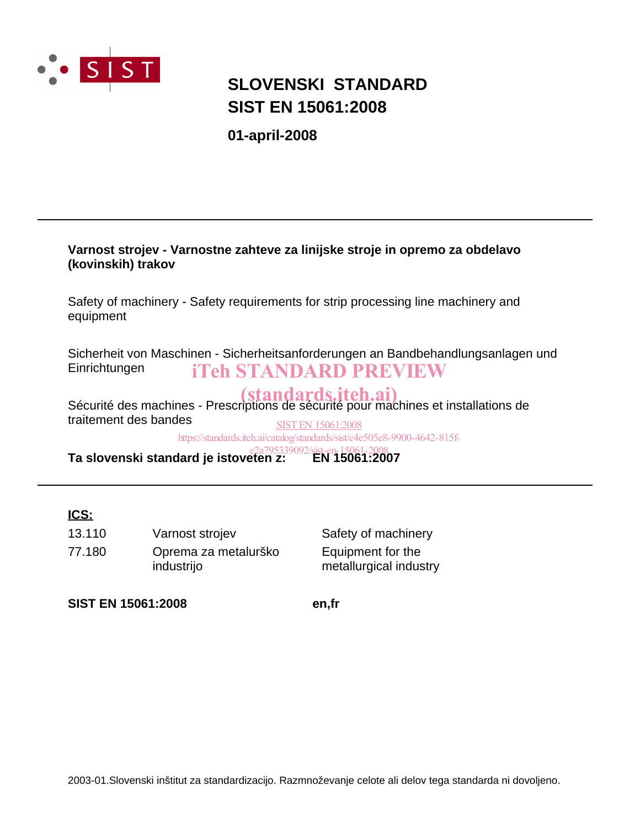

# **SIST EN 15061:2008 SLOVENSKI STANDARD**

**01-april-2008**

## **Varnost strojev - Varnostne zahteve za linijske stroje in opremo za obdelavo (kovinskih) trakov**

Safety of machinery - Safety requirements for strip processing line machinery and equipment

Sicherheit von Maschinen - Sicherheitsanforderungen an Bandbehandlungsanlagen und **Einrichtungen** iTeh STANDARD PREVIEW

Sécurité des machines - Prescriptions de sécurité pour machines et installations de traitement des bandes SIST EN 15061:2008

https://standards.iteh.ai/catalog/standards/sist/c4e505e8-9900-4642-815f-

**Ta slovenski standard je istoveten z: EN 15061:2007** e2a795339092/sist-en-15061-2008

## **ICS:**

77.180 Oprema za metalurško industrijo 13.110 Varnost strojev Safety of machinery

Equipment for the metallurgical industry

**SIST EN 15061:2008 en,fr**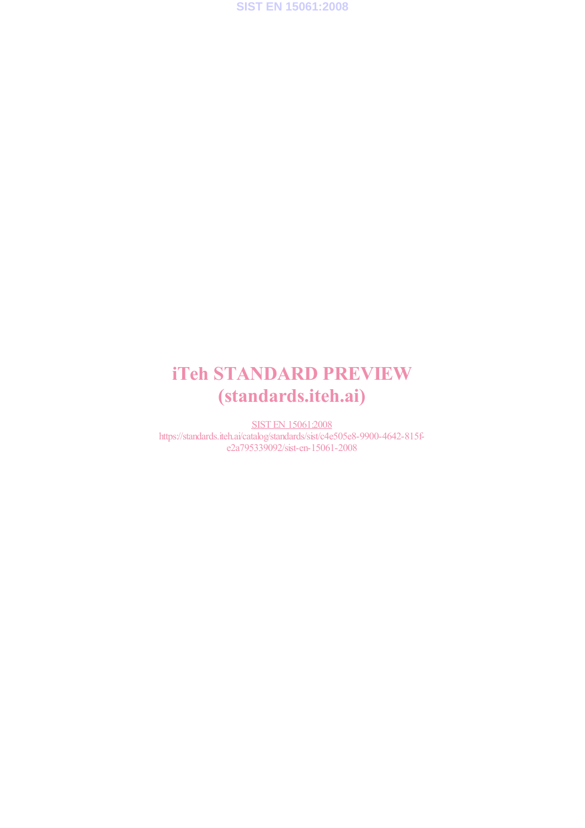

# iTeh STANDARD PREVIEW (standards.iteh.ai)

SIST EN 15061:2008 https://standards.iteh.ai/catalog/standards/sist/c4e505e8-9900-4642-815fe2a795339092/sist-en-15061-2008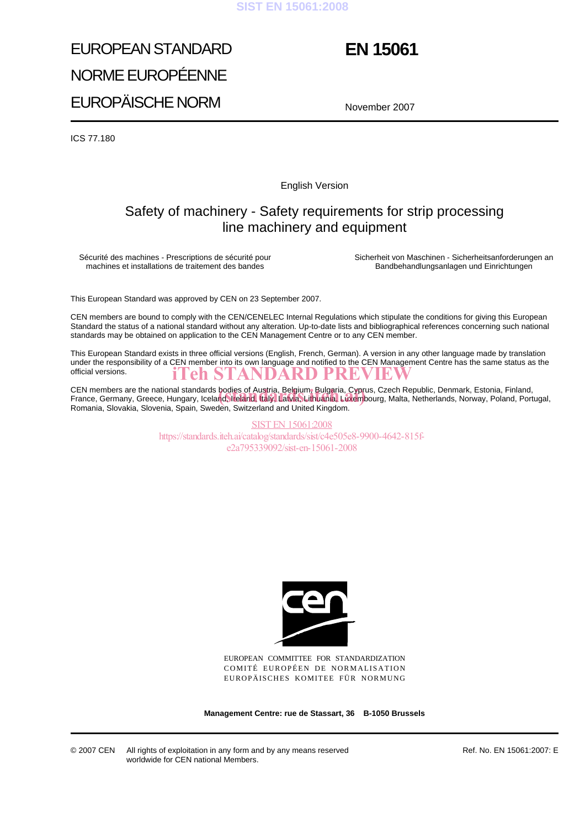### **SIST EN 15061:2008**

# EUROPEAN STANDARD NORME EUROPÉENNE EUROPÄISCHE NORM

# **EN 15061**

November 2007

ICS 77.180

English Version

## Safety of machinery - Safety requirements for strip processing line machinery and equipment

Sécurité des machines - Prescriptions de sécurité pour machines et installations de traitement des bandes

Sicherheit von Maschinen - Sicherheitsanforderungen an Bandbehandlungsanlagen und Einrichtungen

This European Standard was approved by CEN on 23 September 2007.

CEN members are bound to comply with the CEN/CENELEC Internal Regulations which stipulate the conditions for giving this European Standard the status of a national standard without any alteration. Up-to-date lists and bibliographical references concerning such national standards may be obtained on application to the CEN Management Centre or to any CEN member.

This European Standard exists in three official versions (English, French, German). A version in any other language made by translation under the responsibility of a CEN member into its own language and notified to the CEN Management Centre has the same status as the official versions.<br> **ITEH STANDARD PREVIEW** official versions.

CEN members are the national standards bodies of Austria, Belgium, Bulgaria, Cyprus, Czech Republic, Denmark, Estonia, Finland, CEN members are the national standards bodies of Austria, Belgium, Bulgaria, Cyprus, Czech Republic, Denmark, Estonia, Finland,<br>France, Germany, Greece, Hungary, Iceland, Ireland, Italy, Latvia, Lithuania, Luxembourg, Malt Romania, Slovakia, Slovenia, Spain, Sweden, Switzerland and United Kingdom.

> SIST EN 15061:2008 https://standards.iteh.ai/catalog/standards/sist/c4e505e8-9900-4642-815fe2a795339092/sist-en-15061-2008



EUROPEAN COMMITTEE FOR STANDARDIZATION COMITÉ EUROPÉEN DE NORMALISATION EUROPÄISCHES KOMITEE FÜR NORMUNG

**Management Centre: rue de Stassart, 36 B-1050 Brussels**

© 2007 CEN All rights of exploitation in any form and by any means reserved worldwide for CEN national Members.

Ref. No. EN 15061:2007: E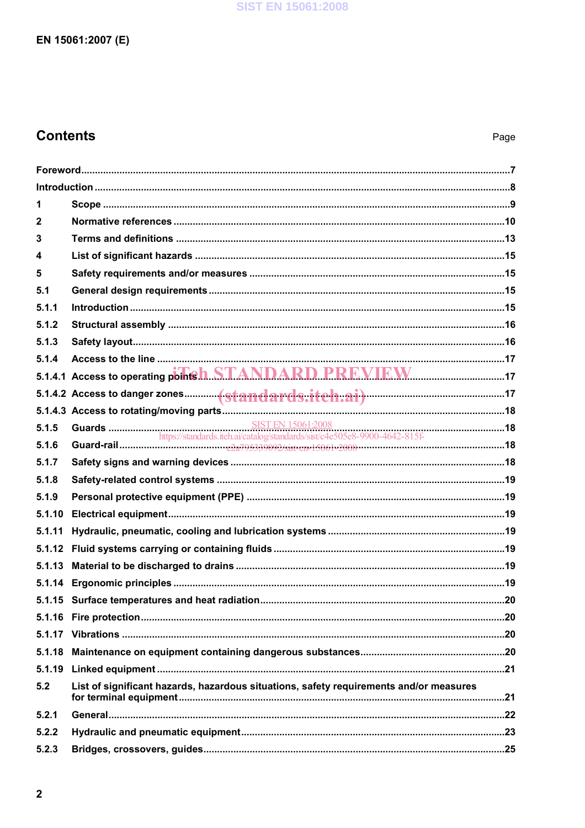## **Contents**

| 1                       |                                                                                        |  |
|-------------------------|----------------------------------------------------------------------------------------|--|
| 2                       |                                                                                        |  |
| 3                       |                                                                                        |  |
| $\overline{\mathbf{4}}$ |                                                                                        |  |
| 5                       |                                                                                        |  |
| 5.1                     |                                                                                        |  |
| 5.1.1                   |                                                                                        |  |
| 5.1.2                   |                                                                                        |  |
| 5.1.3                   |                                                                                        |  |
| 5.1.4                   |                                                                                        |  |
|                         | 5.1.4.1 Access to operating points h STANDARD PREVIEW                                  |  |
|                         |                                                                                        |  |
|                         |                                                                                        |  |
| 5.1.5                   |                                                                                        |  |
| 5.1.6                   |                                                                                        |  |
| 5.1.7                   |                                                                                        |  |
| 5.1.8                   |                                                                                        |  |
| 5.1.9                   |                                                                                        |  |
| 5.1.10                  |                                                                                        |  |
| 5.1.11                  |                                                                                        |  |
| 5.1.12                  |                                                                                        |  |
| 5.1.13                  |                                                                                        |  |
|                         |                                                                                        |  |
|                         |                                                                                        |  |
|                         |                                                                                        |  |
|                         |                                                                                        |  |
| 5.1.18                  |                                                                                        |  |
| 5.1.19                  |                                                                                        |  |
| 5.2                     | List of significant hazards, hazardous situations, safety requirements and/or measures |  |
| 5.2.1                   |                                                                                        |  |
| 5.2.2                   |                                                                                        |  |
| 5.2.3                   |                                                                                        |  |
|                         |                                                                                        |  |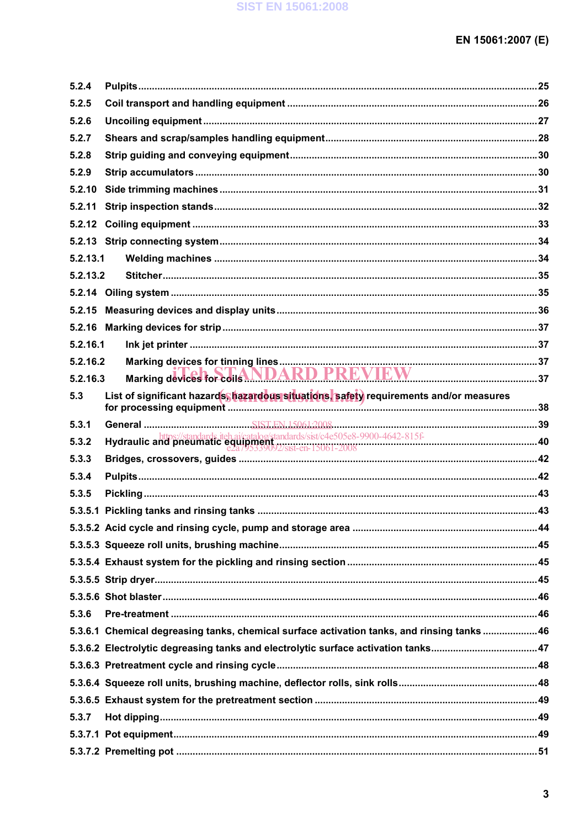| 5.2.4    |                                                                                                                                                                                                                                |  |
|----------|--------------------------------------------------------------------------------------------------------------------------------------------------------------------------------------------------------------------------------|--|
| 5.2.5    |                                                                                                                                                                                                                                |  |
| 5.2.6    |                                                                                                                                                                                                                                |  |
| 5.2.7    |                                                                                                                                                                                                                                |  |
| 5.2.8    |                                                                                                                                                                                                                                |  |
| 5.2.9    |                                                                                                                                                                                                                                |  |
| 5.2.10   |                                                                                                                                                                                                                                |  |
| 5.2.11   |                                                                                                                                                                                                                                |  |
|          |                                                                                                                                                                                                                                |  |
|          |                                                                                                                                                                                                                                |  |
| 5.2.13.1 |                                                                                                                                                                                                                                |  |
| 5.2.13.2 |                                                                                                                                                                                                                                |  |
|          |                                                                                                                                                                                                                                |  |
|          |                                                                                                                                                                                                                                |  |
|          |                                                                                                                                                                                                                                |  |
| 5.2.16.1 |                                                                                                                                                                                                                                |  |
| 5.2.16.2 |                                                                                                                                                                                                                                |  |
| 5.2.16.3 | Marking devices for colls NDARD PREVIEW                                                                                                                                                                                        |  |
| 5.3      | List of significant hazards hazardous situations, safety requirements and/or measures                                                                                                                                          |  |
| 5.3.1    |                                                                                                                                                                                                                                |  |
| 5.3.2    | Hydraulic and prieumatic equipment and architecture and present and present and present and present and care and care and care and care and care and care and care and care and care and care and care and care and care and c |  |
| 5.3.3    |                                                                                                                                                                                                                                |  |
| 5.3.4    |                                                                                                                                                                                                                                |  |
| 5.3.5    |                                                                                                                                                                                                                                |  |
|          |                                                                                                                                                                                                                                |  |
|          |                                                                                                                                                                                                                                |  |
|          |                                                                                                                                                                                                                                |  |
|          |                                                                                                                                                                                                                                |  |
|          |                                                                                                                                                                                                                                |  |
|          |                                                                                                                                                                                                                                |  |
| 5.3.6    |                                                                                                                                                                                                                                |  |
|          | 5.3.6.1 Chemical degreasing tanks, chemical surface activation tanks, and rinsing tanks 46                                                                                                                                     |  |
|          |                                                                                                                                                                                                                                |  |
|          |                                                                                                                                                                                                                                |  |
|          |                                                                                                                                                                                                                                |  |
|          |                                                                                                                                                                                                                                |  |
| 5.3.7    |                                                                                                                                                                                                                                |  |
|          |                                                                                                                                                                                                                                |  |
|          |                                                                                                                                                                                                                                |  |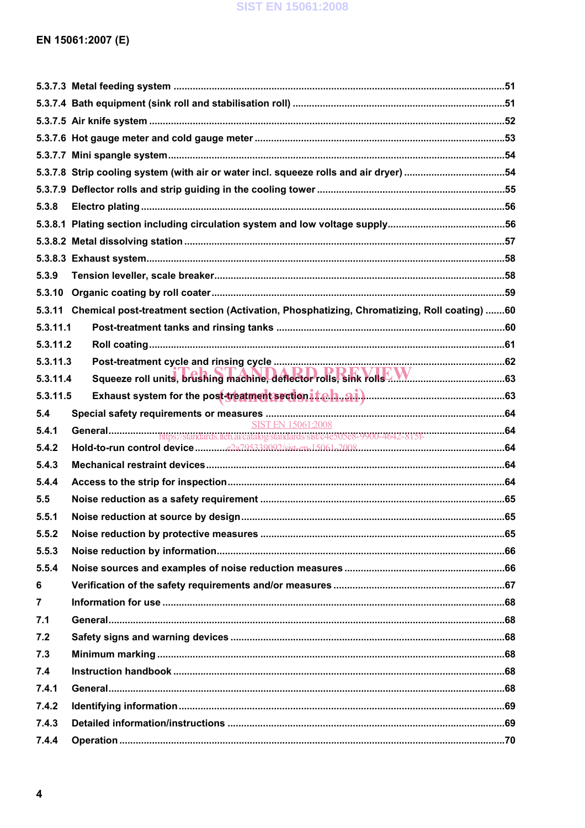## **SIST EN 15061:2008**

| 5.3.8          |                                                                                                   |  |
|----------------|---------------------------------------------------------------------------------------------------|--|
|                |                                                                                                   |  |
|                |                                                                                                   |  |
|                |                                                                                                   |  |
| 5.3.9          |                                                                                                   |  |
| 5.3.10         |                                                                                                   |  |
|                | 5.3.11 Chemical post-treatment section (Activation, Phosphatizing, Chromatizing, Roll coating) 60 |  |
| 5.3.11.1       |                                                                                                   |  |
| 5.3.11.2       |                                                                                                   |  |
| 5.3.11.3       |                                                                                                   |  |
| 5.3.11.4       |                                                                                                   |  |
| 5.3.11.5       |                                                                                                   |  |
| 5.4            |                                                                                                   |  |
| 5.4.1          |                                                                                                   |  |
| 5.4.2          |                                                                                                   |  |
| 5.4.3          |                                                                                                   |  |
| 5.4.4          |                                                                                                   |  |
| 5.5            |                                                                                                   |  |
| 5.5.1          |                                                                                                   |  |
| 5.5.2          |                                                                                                   |  |
| 5.5.3          |                                                                                                   |  |
| 5.5.4          |                                                                                                   |  |
| 6              |                                                                                                   |  |
| $\overline{7}$ |                                                                                                   |  |
| 7.1            |                                                                                                   |  |
| 7.2            |                                                                                                   |  |
| 7.3            |                                                                                                   |  |
| 7.4            |                                                                                                   |  |
| 7.4.1          |                                                                                                   |  |
| 7.4.2          |                                                                                                   |  |
| 7.4.3          |                                                                                                   |  |
| 7.4.4          |                                                                                                   |  |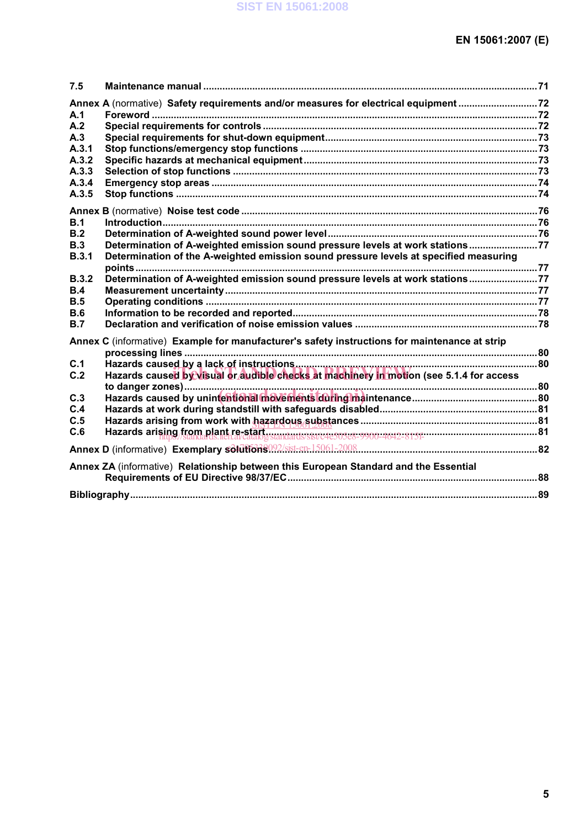| 7.5          |                                                                                               |  |
|--------------|-----------------------------------------------------------------------------------------------|--|
|              | Annex A (normative) Safety requirements and/or measures for electrical equipment 72           |  |
| A.1          |                                                                                               |  |
| A.2          |                                                                                               |  |
| A.3          |                                                                                               |  |
| A.3.1        |                                                                                               |  |
| A.3.2        |                                                                                               |  |
| A.3.3        |                                                                                               |  |
| A.3.4        |                                                                                               |  |
| A.3.5        |                                                                                               |  |
|              |                                                                                               |  |
| B.1          |                                                                                               |  |
| B.2          |                                                                                               |  |
| B.3          | Determination of A-weighted emission sound pressure levels at work stations77                 |  |
| B.3.1        | Determination of the A-weighted emission sound pressure levels at specified measuring         |  |
|              |                                                                                               |  |
| <b>B.3.2</b> | Determination of A-weighted emission sound pressure levels at work stations77                 |  |
| <b>B.4</b>   |                                                                                               |  |
| B.5          |                                                                                               |  |
| <b>B.6</b>   |                                                                                               |  |
| B.7          |                                                                                               |  |
|              | Annex C (informative) Example for manufacturer's safety instructions for maintenance at strip |  |
|              |                                                                                               |  |
| C.1          |                                                                                               |  |
| C.2          | Hazards caused by visual or audible checks at machinery in motion (see 5.1.4 for access       |  |
|              |                                                                                               |  |
| C.3          |                                                                                               |  |
| C.4          |                                                                                               |  |
| C.5          |                                                                                               |  |
| C.6          |                                                                                               |  |
|              |                                                                                               |  |
|              | Annex ZA (informative) Relationship between this European Standard and the Essential          |  |
|              |                                                                                               |  |
|              |                                                                                               |  |
|              |                                                                                               |  |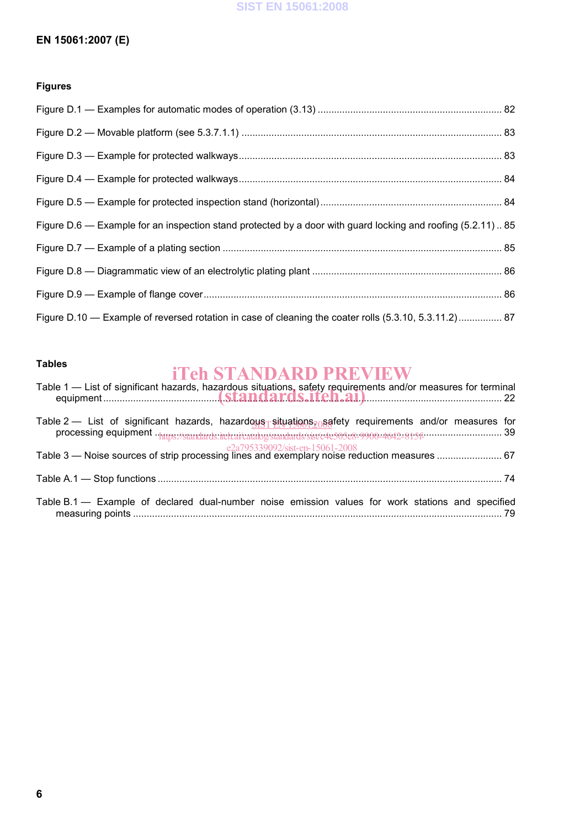## **SIST EN 15061:2008**

## **EN 15061:2007 (E)**

## **Figures**

| Figure D.6 — Example for an inspection stand protected by a door with guard locking and roofing (5.2.11) 85 |  |
|-------------------------------------------------------------------------------------------------------------|--|
|                                                                                                             |  |
|                                                                                                             |  |
|                                                                                                             |  |
| Figure D.10 — Example of reversed rotation in case of cleaning the coater rolls (5.3.10, 5.3.11.2) 87       |  |

## **Tables**

# iTeh STANDARD PREVIEW

| Table 1 — List of significant hazards, hazardous situations, safety requirements and/or measures for terminal                                                                                                |
|--------------------------------------------------------------------------------------------------------------------------------------------------------------------------------------------------------------|
| Table 2 — List of significant hazards, hazardous situations, as fety requirements and/or measures for<br>processing equipment . https://standards.iteh.ai/catalog/standards/sist/e4e505e8-9900-4642-815f- 39 |
|                                                                                                                                                                                                              |
|                                                                                                                                                                                                              |
| Table B.1 - Example of declared dual-number noise emission values for work stations and specified                                                                                                            |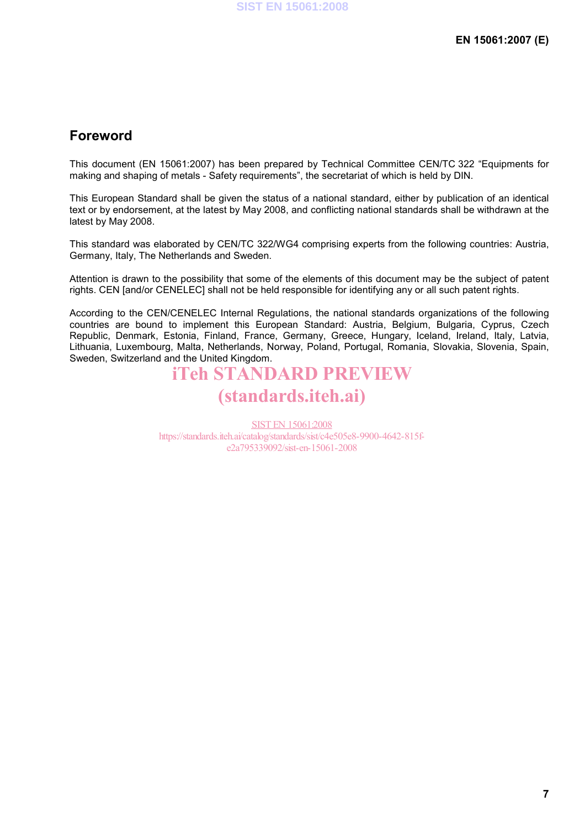## **Foreword**

This document (EN 15061:2007) has been prepared by Technical Committee CEN/TC 322 "Equipments for making and shaping of metals - Safety requirements", the secretariat of which is held by DIN.

This European Standard shall be given the status of a national standard, either by publication of an identical text or by endorsement, at the latest by May 2008, and conflicting national standards shall be withdrawn at the latest by May 2008.

This standard was elaborated by CEN/TC 322/WG4 comprising experts from the following countries: Austria, Germany, Italy, The Netherlands and Sweden.

Attention is drawn to the possibility that some of the elements of this document may be the subject of patent rights. CEN [and/or CENELEC] shall not be held responsible for identifying any or all such patent rights.

According to the CEN/CENELEC Internal Regulations, the national standards organizations of the following countries are bound to implement this European Standard: Austria, Belgium, Bulgaria, Cyprus, Czech Republic, Denmark, Estonia, Finland, France, Germany, Greece, Hungary, Iceland, Ireland, Italy, Latvia, Lithuania, Luxembourg, Malta, Netherlands, Norway, Poland, Portugal, Romania, Slovakia, Slovenia, Spain, Sweden, Switzerland and the United Kingdom.

# iTeh STANDARD PREVIEW (standards.iteh.ai)

SIST EN 15061:2008 https://standards.iteh.ai/catalog/standards/sist/c4e505e8-9900-4642-815fe2a795339092/sist-en-15061-2008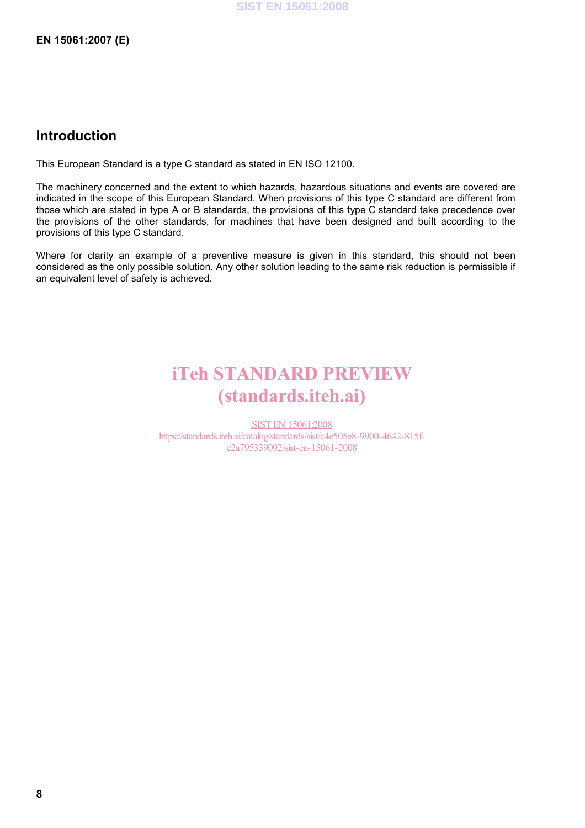**EN 15061:2007 (E)** 

## **Introduction**

This European Standard is a type C standard as stated in EN ISO 12100.

The machinery concerned and the extent to which hazards, hazardous situations and events are covered are indicated in the scope of this European Standard. When provisions of this type C standard are different from those which are stated in type A or B standards, the provisions of this type C standard take precedence over the provisions of the other standards, for machines that have been designed and built according to the provisions of this type C standard.

Where for clarity an example of a preventive measure is given in this standard, this should not been considered as the only possible solution. Any other solution leading to the same risk reduction is permissible if an equivalent level of safety is achieved.

# iTeh STANDARD PREVIEW (standards.iteh.ai)

SIST EN 15061:2008 https://standards.iteh.ai/catalog/standards/sist/c4e505e8-9900-4642-815fe2a795339092/sist-en-15061-2008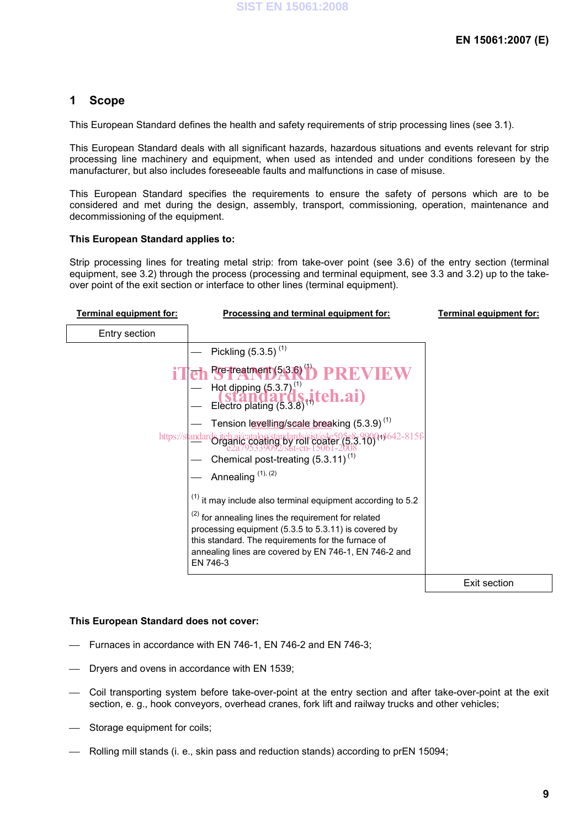## **1 Scope**

This European Standard defines the health and safety requirements of strip processing lines (see 3.1).

This European Standard deals with all significant hazards, hazardous situations and events relevant for strip processing line machinery and equipment, when used as intended and under conditions foreseen by the manufacturer, but also includes foreseeable faults and malfunctions in case of misuse.

This European Standard specifies the requirements to ensure the safety of persons which are to be considered and met during the design, assembly, transport, commissioning, operation, maintenance and decommissioning of the equipment.

#### **This European Standard applies to:**

Strip processing lines for treating metal strip: from take-over point (see 3.6) of the entry section (terminal equipment, see 3.2) through the process (processing and terminal equipment, see 3.3 and 3.2) up to the takeover point of the exit section or interface to other lines (terminal equipment).

| Terminal equipment for: | Processing and terminal equipment for:                                                                                                                                                                                                                  | Terminal equipment for: |
|-------------------------|---------------------------------------------------------------------------------------------------------------------------------------------------------------------------------------------------------------------------------------------------------|-------------------------|
| Entry section           |                                                                                                                                                                                                                                                         |                         |
|                         | Pickling $(5.3.5)^{(1)}$                                                                                                                                                                                                                                |                         |
|                         | <b>Pre-treatment(53.6)<sup>(1)</sup> PREVIEW</b><br>Hot dipping (5.3.7) <sup>(1)</sup><br><b>Standards, itch.ai</b> )<br>Electro plating (5.3.8) <sup>(1)</sup>                                                                                         |                         |
| https://st              | Tension levelling/scale breaking (5.3.9) <sup>(1)</sup><br>ards iteh ai/catalog/standards/sist/c4e505e8-990044642-815f-<br>Crganic coating by roll coater (5.3.10)<br>e2a795339092/sist-en-15061-2008<br>Chemical post-treating (5.3.11) <sup>(1)</sup> |                         |
|                         | Annealing <sup>(1), (2)</sup><br>$(1)$ it may include also terminal equipment according to 5.2                                                                                                                                                          |                         |
|                         | <sup>(2)</sup> for annealing lines the requirement for related<br>processing equipment (5.3.5 to 5.3.11) is covered by<br>this standard. The requirements for the furnace of<br>annealing lines are covered by EN 746-1, EN 746-2 and<br>EN 746-3       |                         |
|                         |                                                                                                                                                                                                                                                         | Exit section            |

#### **This European Standard does not cover:**

- Furnaces in accordance with EN 746-1, EN 746-2 and EN 746-3;
- Dryers and ovens in accordance with EN 1539;
- Coil transporting system before take-over-point at the entry section and after take-over-point at the exit section, e. g., hook conveyors, overhead cranes, fork lift and railway trucks and other vehicles;
- Storage equipment for coils:
- Rolling mill stands (i. e., skin pass and reduction stands) according to prEN 15094;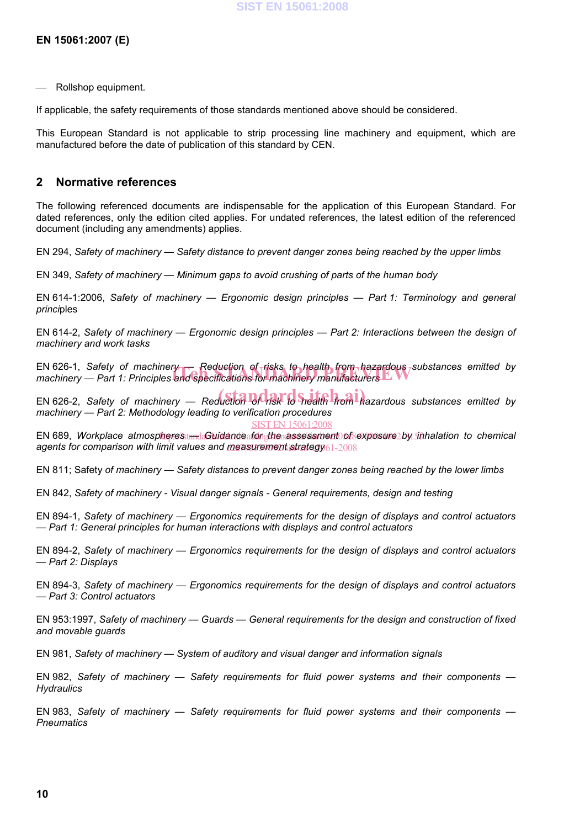Rollshop equipment.

If applicable, the safety requirements of those standards mentioned above should be considered.

This European Standard is not applicable to strip processing line machinery and equipment, which are manufactured before the date of publication of this standard by CEN.

## **2 Normative references**

The following referenced documents are indispensable for the application of this European Standard. For dated references, only the edition cited applies. For undated references, the latest edition of the referenced document (including any amendments) applies.

EN 294, *Safety of machinery — Safety distance to prevent danger zones being reached by the upper limbs* 

EN 349, *Safety of machinery — Minimum gaps to avoid crushing of parts of the human body*

EN 614-1:2006, *Safety of machinery — Ergonomic design principles — Part 1: Terminology and general princi*ples

EN 614-2, *Safety of machinery — Ergonomic design principles — Part 2: Interactions between the design of machinery and work tasks*

EN 626-1, *Safety of machinery — Reduction of risks to health from hazardous substances emitted by*  EN 626-1, Safety of machinery — Reduction of risks to health, from hazardous <sub>/</sub>sul<br>machinery — Part 1: Principles and specifications for machinery manufacturers

EN 626-2, *Safety of machinery — Reduction of risk to Snealth from hazardous substances emitted by machinery — Part 2: Methodology leading to verification procedures*  SIST EN 15061:2008

EN 689, *Workplace atmospheresstandaGuidanceaforghenassessment\ofsexposure*2*by inhalation to chemical* agents for comparison with limit values and measurement strategy61-2008

EN 811; Safety *of machinery — Safety distances to prevent danger zones being reached by the lower limbs* 

EN 842, *Safety of machinery - Visual danger signals - General requirements, design and testing* 

EN 894-1, *Safety of machinery — Ergonomics requirements for the design of displays and control actuators — Part 1: General principles for human interactions with displays and control actuators* 

EN 894-2, *Safety of machinery — Ergonomics requirements for the design of displays and control actuators — Part 2: Displays* 

EN 894-3, *Safety of machinery — Ergonomics requirements for the design of displays and control actuators — Part 3: Control actuators*

EN 953:1997, *Safety of machinery — Guards — General requirements for the design and construction of fixed and movable guards*

EN 981, *Safety of machinery — System of auditory and visual danger and information signals*

EN 982, *Safety of machinery — Safety requirements for fluid power systems and their components — Hydraulics*

EN 983, *Safety of machinery — Safety requirements for fluid power systems and their components — Pneumatics*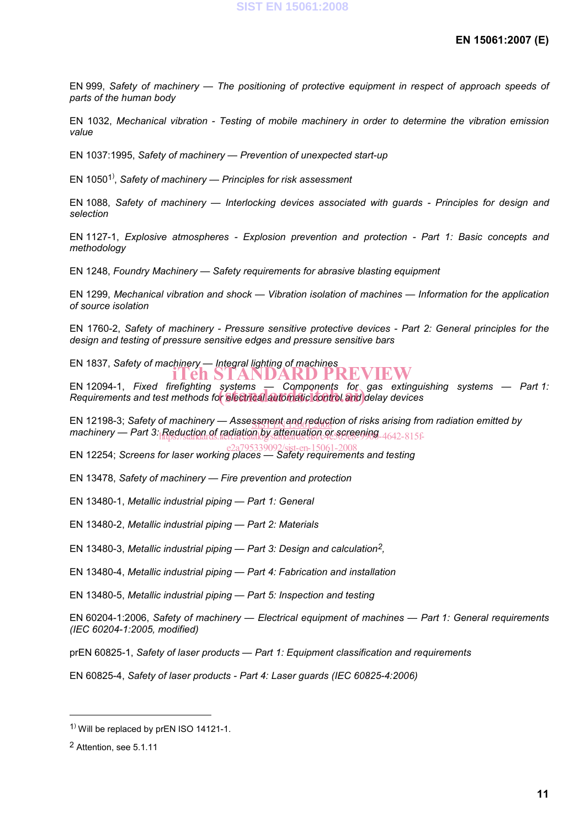EN 999, *Safety of machinery — The positioning of protective equipment in respect of approach speeds of parts of the human body* 

EN 1032, *Mechanical vibration - Testing of mobile machinery in order to determine the vibration emission value*

EN 1037:1995, *Safety of machinery — Prevention of unexpected start-up*

EN 10501) , *Safety of machinery — Principles for risk assessment*

EN 1088, *Safety of machinery — Interlocking devices associated with guards - Principles for design and selection*

EN 1127-1, *Explosive atmospheres - Explosion prevention and protection - Part 1: Basic concepts and methodology*

EN 1248, *Foundry Machinery — Safety requirements for abrasive blasting equipment*

EN 1299, *Mechanical vibration and shock — Vibration isolation of machines — Information for the application of source isolation* 

EN 1760-2, *Safety of machinery - Pressure sensitive protective devices - Part 2: General principles for the design and testing of pressure sensitive edges and pressure sensitive bars*

EN 1837, *Safety of machinery — Integral lighting of machines* iTeh STANDARD PREVIEW

EN 12094-1, *Fixed firefighting systems — Components for gas extinguishing systems — Part 1:*  EN 12094-1, *Fixed Tirenghung systems* — Components for gas extingu<br>Requirements and test methods for **electrical automatic control and** delay devices

EN 12198-3; *Safety of machinery — Assessment and reduction of risks arising from radiation emitted by* machinery — Part 3: Reduction of radiation by attenuation or screening 4642-815f-

EN 12254; *Screens for laser working places — Safety requirements and testing* e2a795339092/sist-en-15061-2008

EN 13478, *Safety of machinery — Fire prevention and protection* 

EN 13480-1, *Metallic industrial piping — Part 1: General*

EN 13480-2, *Metallic industrial piping — Part 2: Materials*

EN 13480-3, *Metallic industrial piping — Part 3: Design and calculation2,* 

EN 13480-4, *Metallic industrial piping — Part 4: Fabrication and installation*

EN 13480-5, *Metallic industrial piping — Part 5: Inspection and testing*

EN 60204-1:2006, *Safety of machinery — Electrical equipment of machines — Part 1: General requirements (IEC 60204-1:2005, modified)* 

prEN 60825-1, *Safety of laser products — Part 1: Equipment classification and requirements*

EN 60825-4, *Safety of laser products - Part 4: Laser guards (IEC 60825-4:2006)*

l

<sup>&</sup>lt;sup>1)</sup> Will be replaced by prEN ISO 14121-1.

<sup>2</sup> Attention, see 5.1.11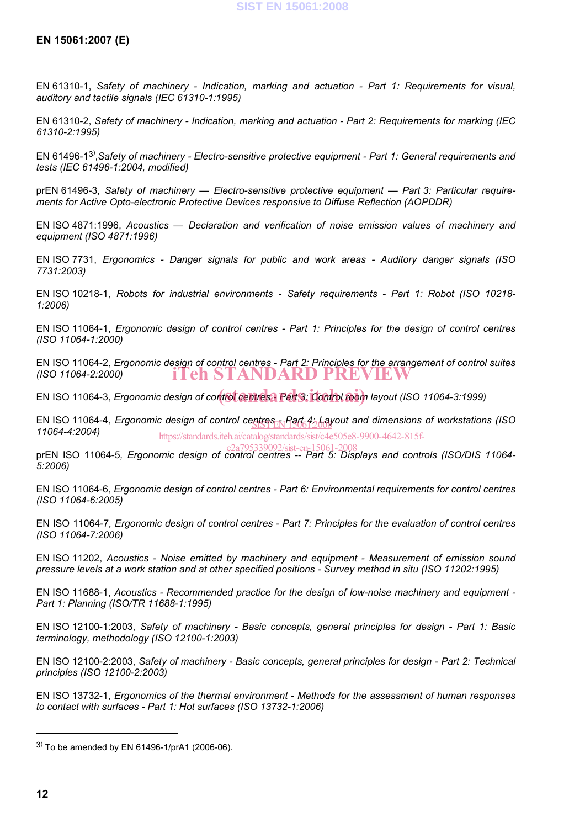EN 61310-1, *Safety of machinery - Indication, marking and actuation - Part 1: Requirements for visual, auditory and tactile signals (IEC 61310-1:1995)* 

EN 61310-2, *Safety of machinery - Indication, marking and actuation - Part 2: Requirements for marking (IEC 61310-2:1995)* 

EN 61496-13) ,*Safety of machinery - Electro-sensitive protective equipment - Part 1: General requirements and tests (IEC 61496-1:2004, modified)* 

prEN 61496-3, *Safety of machinery — Electro-sensitive protective equipment — Part 3: Particular requirements for Active Opto-electronic Protective Devices responsive to Diffuse Reflection (AOPDDR)*

EN ISO 4871:1996, *Acoustics — Declaration and verification of noise emission values of machinery and equipment (ISO 4871:1996)* 

EN ISO 7731, *Ergonomics - Danger signals for public and work areas - Auditory danger signals (ISO 7731:2003)* 

EN ISO 10218-1, *Robots for industrial environments - Safety requirements - Part 1: Robot (ISO 10218- 1:2006)*

EN ISO 11064-1, *Ergonomic design of control centres - Part 1: Principles for the design of control centres (ISO 11064-1:2000)*

EN ISO 11064-2, *Ergonomic design of control centres - Part 2: Principles for the arrangement of control suites (ISO 11064-2:2000)* iTeh STANDARD PREVIEW

EN ISO 11064-3, *Ergonomic design of control centres - Part 3: Control room layout (ISO 11064-3:1999)* 

EN ISO 11064-4, *Ergonomic design of control ce<u>ntres <sub>EN</sub>Part 4: La</u>yout and dimensions of workstations (ISO )*<br>44964-4:0004) *11064-4:2004)*  https://standards.iteh.ai/catalog/standards/sist/c4e505e8-9900-4642-815f-

e2a795339092/sist-en-15061-2008<br>-prEN ISO 11064-5, *Ergonomic design of control centres -- Part 5: Displays and controls (ISO/DIS 11064 5:2006)* 

EN ISO 11064-6, *Ergonomic design of control centres - Part 6: Environmental requirements for control centres (ISO 11064-6:2005)* 

EN ISO 11064-7*, Ergonomic design of control centres - Part 7: Principles for the evaluation of control centres (ISO 11064-7:2006)* 

EN ISO 11202, *Acoustics - Noise emitted by machinery and equipment - Measurement of emission sound pressure levels at a work station and at other specified positions - Survey method in situ (ISO 11202:1995)*

EN ISO 11688-1, *Acoustics - Recommended practice for the design of low-noise machinery and equipment - Part 1: Planning (ISO/TR 11688-1:1995)* 

EN ISO 12100-1:2003, *Safety of machinery - Basic concepts, general principles for design - Part 1: Basic terminology, methodology (ISO 12100-1:2003)* 

EN ISO 12100-2:2003, *Safety of machinery - Basic concepts, general principles for design - Part 2: Technical principles (ISO 12100-2:2003)* 

EN ISO 13732-1, *Ergonomics of the thermal environment - Methods for the assessment of human responses to contact with surfaces - Part 1: Hot surfaces (ISO 13732-1:2006)*

l

 $^{3)}$  To be amended by EN 61496-1/prA1 (2006-06).